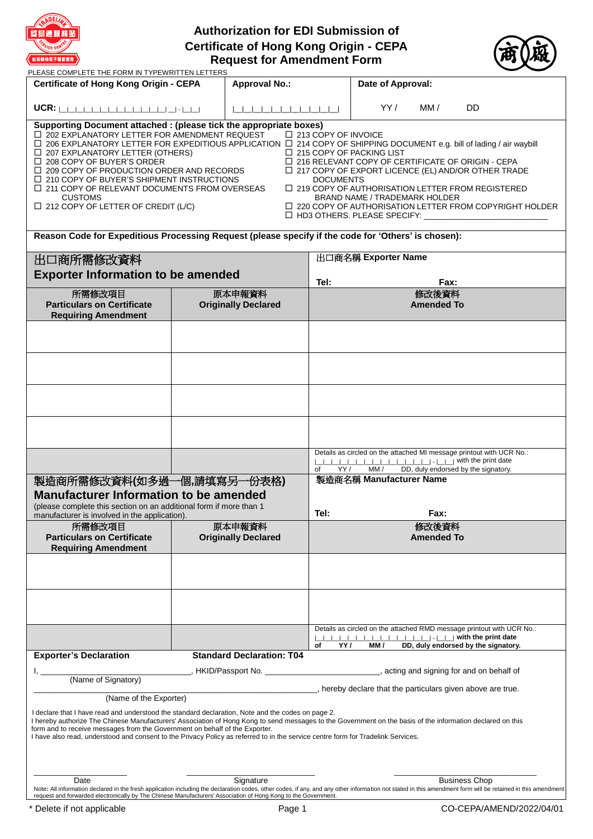

# **Authorization for EDI Submission of Certificate of Hong Kong Origin - CEPA Request for Amendment Form**



| PLEASE COMPLETE THE FORM IN TYPEWRITTEN LETTERS                                                                                                                                                                                                                                                                                                                                                                                                                                                                                                                                                                                                                                                                                                                                                                                                                                                                                                                                     |                                      |                                                                                             |            |                         |                            |                                                                                                             |  |
|-------------------------------------------------------------------------------------------------------------------------------------------------------------------------------------------------------------------------------------------------------------------------------------------------------------------------------------------------------------------------------------------------------------------------------------------------------------------------------------------------------------------------------------------------------------------------------------------------------------------------------------------------------------------------------------------------------------------------------------------------------------------------------------------------------------------------------------------------------------------------------------------------------------------------------------------------------------------------------------|--------------------------------------|---------------------------------------------------------------------------------------------|------------|-------------------------|----------------------------|-------------------------------------------------------------------------------------------------------------|--|
| <b>Certificate of Hong Kong Origin - CEPA</b>                                                                                                                                                                                                                                                                                                                                                                                                                                                                                                                                                                                                                                                                                                                                                                                                                                                                                                                                       |                                      | <b>Approval No.:</b>                                                                        |            | Date of Approval:       |                            |                                                                                                             |  |
|                                                                                                                                                                                                                                                                                                                                                                                                                                                                                                                                                                                                                                                                                                                                                                                                                                                                                                                                                                                     |                                      |                                                                                             |            | YY /                    | MM /                       | DD                                                                                                          |  |
| Supporting Document attached : (please tick the appropriate boxes)<br>□ 202 EXPLANATORY LETTER FOR AMENDMENT REQUEST<br>□ 213 COPY OF INVOICE<br>□ 206 EXPLANATORY LETTER FOR EXPEDITIOUS APPLICATION □ 214 COPY OF SHIPPING DOCUMENT e.g. bill of lading / air waybill<br>$\Box$ 207 EXPLANATORY LETTER (OTHERS)<br>$\Box$ 215 COPY OF PACKING LIST<br>$\Box$ 208 COPY OF BUYER'S ORDER<br>$\Box$ 216 RELEVANT COPY OF CERTIFICATE OF ORIGIN - CEPA<br>$\Box$ 209 COPY OF PRODUCTION ORDER AND RECORDS<br>$\Box$ 217 COPY OF EXPORT LICENCE (EL) AND/OR OTHER TRADE<br>$\Box$ 210 COPY OF BUYER'S SHIPMENT INSTRUCTIONS<br><b>DOCUMENTS</b><br>$\Box$ 219 COPY OF AUTHORISATION LETTER FROM REGISTERED<br>$\Box$ 211 COPY OF RELEVANT DOCUMENTS FROM OVERSEAS<br><b>CUSTOMS</b><br><b>BRAND NAME / TRADEMARK HOLDER</b><br>$\Box$ 212 COPY OF LETTER OF CREDIT (L/C)<br>$\Box$ 220 COPY OF AUTHORISATION LETTER FROM COPYRIGHT HOLDER<br>$\Box$ HD3 OTHERS. PLEASE SPECIFY: $\Box$ |                                      |                                                                                             |            |                         |                            |                                                                                                             |  |
| Reason Code for Expeditious Processing Request (please specify if the code for 'Others' is chosen):                                                                                                                                                                                                                                                                                                                                                                                                                                                                                                                                                                                                                                                                                                                                                                                                                                                                                 |                                      |                                                                                             |            |                         |                            |                                                                                                             |  |
| 出口商所需修改資料                                                                                                                                                                                                                                                                                                                                                                                                                                                                                                                                                                                                                                                                                                                                                                                                                                                                                                                                                                           |                                      |                                                                                             |            | 出口商名稱 Exporter Name     |                            |                                                                                                             |  |
| <b>Exporter Information to be amended</b>                                                                                                                                                                                                                                                                                                                                                                                                                                                                                                                                                                                                                                                                                                                                                                                                                                                                                                                                           |                                      |                                                                                             |            |                         |                            |                                                                                                             |  |
|                                                                                                                                                                                                                                                                                                                                                                                                                                                                                                                                                                                                                                                                                                                                                                                                                                                                                                                                                                                     |                                      |                                                                                             | Tel:       |                         | Fax:                       |                                                                                                             |  |
| 所需修改項目<br><b>Particulars on Certificate</b><br><b>Requiring Amendment</b>                                                                                                                                                                                                                                                                                                                                                                                                                                                                                                                                                                                                                                                                                                                                                                                                                                                                                                           |                                      | 原本申報資料<br><b>Originally Declared</b>                                                        |            |                         | 修改後資料<br><b>Amended To</b> |                                                                                                             |  |
|                                                                                                                                                                                                                                                                                                                                                                                                                                                                                                                                                                                                                                                                                                                                                                                                                                                                                                                                                                                     |                                      |                                                                                             |            |                         |                            |                                                                                                             |  |
|                                                                                                                                                                                                                                                                                                                                                                                                                                                                                                                                                                                                                                                                                                                                                                                                                                                                                                                                                                                     |                                      |                                                                                             |            |                         |                            |                                                                                                             |  |
|                                                                                                                                                                                                                                                                                                                                                                                                                                                                                                                                                                                                                                                                                                                                                                                                                                                                                                                                                                                     |                                      |                                                                                             |            |                         |                            |                                                                                                             |  |
|                                                                                                                                                                                                                                                                                                                                                                                                                                                                                                                                                                                                                                                                                                                                                                                                                                                                                                                                                                                     |                                      |                                                                                             |            |                         |                            |                                                                                                             |  |
|                                                                                                                                                                                                                                                                                                                                                                                                                                                                                                                                                                                                                                                                                                                                                                                                                                                                                                                                                                                     |                                      |                                                                                             |            |                         |                            |                                                                                                             |  |
|                                                                                                                                                                                                                                                                                                                                                                                                                                                                                                                                                                                                                                                                                                                                                                                                                                                                                                                                                                                     |                                      |                                                                                             | YY/<br>of  | MM /                    |                            | Details as circled on the attached MI message printout with UCR No.:<br>DD, duly endorsed by the signatory. |  |
| 製造商所需修改資料(如多過一個,請填寫另一份表格)                                                                                                                                                                                                                                                                                                                                                                                                                                                                                                                                                                                                                                                                                                                                                                                                                                                                                                                                                           |                                      |                                                                                             |            | 製造商名稱 Manufacturer Name |                            |                                                                                                             |  |
| <b>Manufacturer Information to be amended</b>                                                                                                                                                                                                                                                                                                                                                                                                                                                                                                                                                                                                                                                                                                                                                                                                                                                                                                                                       |                                      |                                                                                             |            |                         |                            |                                                                                                             |  |
| (please complete this section on an additional form if more than 1                                                                                                                                                                                                                                                                                                                                                                                                                                                                                                                                                                                                                                                                                                                                                                                                                                                                                                                  |                                      |                                                                                             | Tel:       |                         | <b>Fax:</b>                |                                                                                                             |  |
| manufacturer is involved in the application).                                                                                                                                                                                                                                                                                                                                                                                                                                                                                                                                                                                                                                                                                                                                                                                                                                                                                                                                       |                                      |                                                                                             |            |                         | 修改後資料                      |                                                                                                             |  |
| 所需修改項目<br><b>Particulars on Certificate</b><br><b>Requiring Amendment</b>                                                                                                                                                                                                                                                                                                                                                                                                                                                                                                                                                                                                                                                                                                                                                                                                                                                                                                           | 原本申報資料<br><b>Originally Declared</b> |                                                                                             |            |                         | <b>Amended To</b>          |                                                                                                             |  |
|                                                                                                                                                                                                                                                                                                                                                                                                                                                                                                                                                                                                                                                                                                                                                                                                                                                                                                                                                                                     |                                      |                                                                                             |            |                         |                            |                                                                                                             |  |
|                                                                                                                                                                                                                                                                                                                                                                                                                                                                                                                                                                                                                                                                                                                                                                                                                                                                                                                                                                                     |                                      |                                                                                             |            |                         |                            |                                                                                                             |  |
|                                                                                                                                                                                                                                                                                                                                                                                                                                                                                                                                                                                                                                                                                                                                                                                                                                                                                                                                                                                     |                                      |                                                                                             |            |                         |                            | Details as circled on the attached RMD message printout with UCR No.:                                       |  |
| <b>Exporter's Declaration</b>                                                                                                                                                                                                                                                                                                                                                                                                                                                                                                                                                                                                                                                                                                                                                                                                                                                                                                                                                       |                                      | <b>Standard Declaration: T04</b>                                                            | YY /<br>оf | MM /                    |                            | DD, duly endorsed by the signatory.                                                                         |  |
|                                                                                                                                                                                                                                                                                                                                                                                                                                                                                                                                                                                                                                                                                                                                                                                                                                                                                                                                                                                     |                                      | , HKID/Passport No. ______________________________, acting and signing for and on behalf of |            |                         |                            |                                                                                                             |  |
| (Name of Signatory)                                                                                                                                                                                                                                                                                                                                                                                                                                                                                                                                                                                                                                                                                                                                                                                                                                                                                                                                                                 |                                      |                                                                                             |            |                         |                            |                                                                                                             |  |
| (Name of the Exporter)                                                                                                                                                                                                                                                                                                                                                                                                                                                                                                                                                                                                                                                                                                                                                                                                                                                                                                                                                              |                                      |                                                                                             |            |                         |                            | , hereby declare that the particulars given above are true.                                                 |  |
| I declare that I have read and understood the standard declaration, Note and the codes on page 2.<br>I hereby authorize The Chinese Manufacturers' Association of Hong Kong to send messages to the Government on the basis of the information declared on this<br>form and to receive messages from the Government on behalf of the Exporter.<br>I have also read, understood and consent to the Privacy Policy as referred to in the service centre form for Tradelink Services.                                                                                                                                                                                                                                                                                                                                                                                                                                                                                                  |                                      |                                                                                             |            |                         |                            |                                                                                                             |  |
| Date                                                                                                                                                                                                                                                                                                                                                                                                                                                                                                                                                                                                                                                                                                                                                                                                                                                                                                                                                                                |                                      | Signature                                                                                   |            |                         |                            | <b>Business Chop</b>                                                                                        |  |
| Note: All information declared in the fresh application including the declaration codes, other codes, if any, and any other information not stated in this amendment form will be retained in this amendment<br>request and forwarded electronically by The Chinese Manufacturers' Association of Hong Kong to the Government.                                                                                                                                                                                                                                                                                                                                                                                                                                                                                                                                                                                                                                                      |                                      |                                                                                             |            |                         |                            |                                                                                                             |  |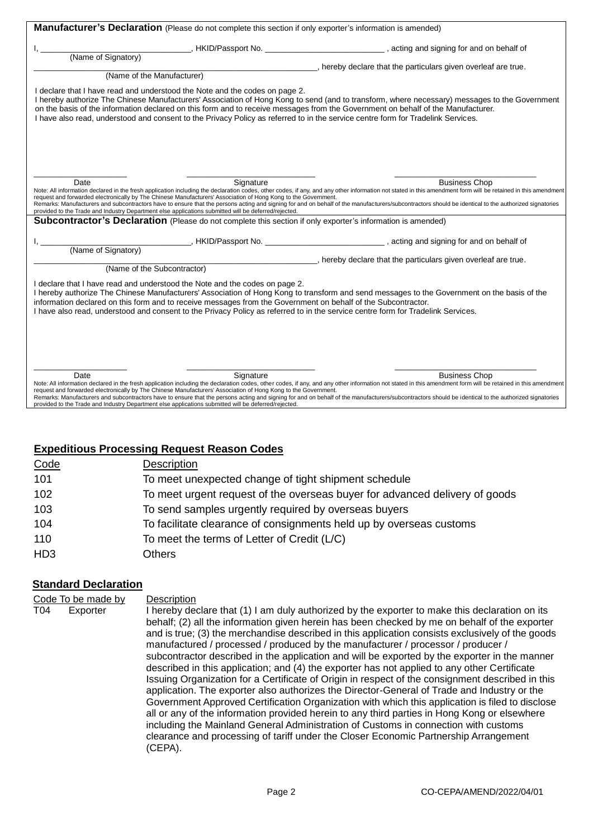| Manufacturer's Declaration (Please do not complete this section if only exporter's information is amended)                                                                                                                                                                                                                                                                                                                                                                                                                                                                                                                                                          |                                                                    |
|---------------------------------------------------------------------------------------------------------------------------------------------------------------------------------------------------------------------------------------------------------------------------------------------------------------------------------------------------------------------------------------------------------------------------------------------------------------------------------------------------------------------------------------------------------------------------------------------------------------------------------------------------------------------|--------------------------------------------------------------------|
|                                                                                                                                                                                                                                                                                                                                                                                                                                                                                                                                                                                                                                                                     |                                                                    |
| (Name of Signatory)                                                                                                                                                                                                                                                                                                                                                                                                                                                                                                                                                                                                                                                 |                                                                    |
|                                                                                                                                                                                                                                                                                                                                                                                                                                                                                                                                                                                                                                                                     | , hereby declare that the particulars given overleaf are true.     |
| (Name of the Manufacturer)                                                                                                                                                                                                                                                                                                                                                                                                                                                                                                                                                                                                                                          |                                                                    |
| I declare that I have read and understood the Note and the codes on page 2.<br>I hereby authorize The Chinese Manufacturers' Association of Hong Kong to send (and to transform, where necessary) messages to the Government<br>on the basis of the information declared on this form and to receive messages from the Government on behalf of the Manufacturer.<br>I have also read, understood and consent to the Privacy Policy as referred to in the service centre form for Tradelink Services.                                                                                                                                                                |                                                                    |
| Date<br>Signature<br>Note: All information declared in the fresh application including the declaration codes, other codes, if any, and any other information not stated in this amendment form will be retained in this amendment<br>request and forwarded electronically by The Chinese Manufacturers' Association of Hong Kong to the Government.<br>Remarks: Manufacturers and subcontractors have to ensure that the persons acting and signing for and on behalf of the manufacturers/subcontractors should be identical to the authorized signatories<br>provided to the Trade and Industry Department else applications submitted will be deferred/rejected. | <b>Business Chop</b>                                               |
| Subcontractor's Declaration (Please do not complete this section if only exporter's information is amended)                                                                                                                                                                                                                                                                                                                                                                                                                                                                                                                                                         |                                                                    |
|                                                                                                                                                                                                                                                                                                                                                                                                                                                                                                                                                                                                                                                                     |                                                                    |
| (Name of Signatory)                                                                                                                                                                                                                                                                                                                                                                                                                                                                                                                                                                                                                                                 |                                                                    |
|                                                                                                                                                                                                                                                                                                                                                                                                                                                                                                                                                                                                                                                                     | ____, hereby declare that the particulars given overleaf are true. |
| (Name of the Subcontractor)                                                                                                                                                                                                                                                                                                                                                                                                                                                                                                                                                                                                                                         |                                                                    |
| I declare that I have read and understood the Note and the codes on page 2.<br>I hereby authorize The Chinese Manufacturers' Association of Hong Kong to transform and send messages to the Government on the basis of the<br>information declared on this form and to receive messages from the Government on behalf of the Subcontractor.<br>I have also read, understood and consent to the Privacy Policy as referred to in the service centre form for Tradelink Services.                                                                                                                                                                                     |                                                                    |
| Date<br>Signature<br>Note: All information declared in the fresh application including the declaration codes, other codes, if any, and any other information not stated in this amendment form will be retained in this amendment<br>request and forwarded electronically by The Chinese Manufacturers' Association of Hong Kong to the Government.<br>Remarks: Manufacturers and subcontractors have to ensure that the persons acting and signing for and on behalf of the manufacturers/subcontractors should be identical to the authorized signatories<br>provided to the Trade and Industry Department else applications submitted will be deferred/rejected. | <b>Business Chop</b>                                               |

# **Expeditious Processing Request Reason Codes**

| Code             | <b>Description</b>                                                          |
|------------------|-----------------------------------------------------------------------------|
| 101              | To meet unexpected change of tight shipment schedule                        |
| 102              | To meet urgent request of the overseas buyer for advanced delivery of goods |
| 103              | To send samples urgently required by overseas buyers                        |
| 104              | To facilitate clearance of consignments held up by overseas customs         |
| 110              | To meet the terms of Letter of Credit (L/C)                                 |
| H <sub>D</sub> 3 | Others                                                                      |

# **Standard Declaration**

Code To be made by Description T04 Exporter I hereby declare that (1) I am duly authorized by the exporter to make this declaration on its behalf; (2) all the information given herein has been checked by me on behalf of the exporter and is true; (3) the merchandise described in this application consists exclusively of the goods manufactured / processed / produced by the manufacturer / processor / producer / subcontractor described in the application and will be exported by the exporter in the manner described in this application; and (4) the exporter has not applied to any other Certificate Issuing Organization for a Certificate of Origin in respect of the consignment described in this application. The exporter also authorizes the Director-General of Trade and Industry or the Government Approved Certification Organization with which this application is filed to disclose all or any of the information provided herein to any third parties in Hong Kong or elsewhere including the Mainland General Administration of Customs in connection with customs clearance and processing of tariff under the Closer Economic Partnership Arrangement (CEPA).